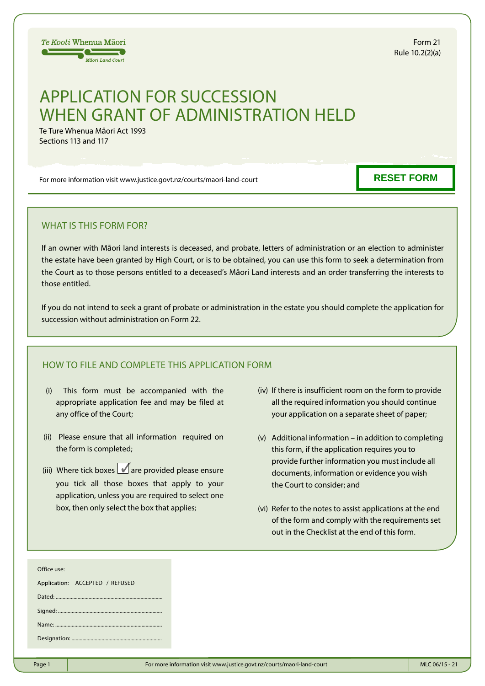

Form 21 Rule 10.2(2)(a)

# APPLICATION FOR SUCCESSION WHEN GRANT OF ADMINISTRATION HELD

Te Ture Whenua Māori Act 1993 Sections 113 and 117

For more information visit www.justice.govt.nz/courts/maori-land-court

**RESET FORM**

# WHAT IS THIS FORM FOR?

If an owner with Māori land interests is deceased, and probate, letters of administration or an election to administer the estate have been granted by High Court, or is to be obtained, you can use this form to seek a determination from the Court as to those persons entitled to a deceased's Māori Land interests and an order transferring the interests to those entitled.

If you do not intend to seek a grant of probate or administration in the estate you should complete the application for succession without administration on Form 22.

# HOW TO FILE AND COMPLETE THIS APPLICATION FORM

- (i) This form must be accompanied with the appropriate application fee and may be filed at any office of the Court;
- (ii) Please ensure that all information required on the form is completed;
- (iii) Where tick boxes  $\blacksquare$  are provided please ensure you tick all those boxes that apply to your application, unless you are required to select one box, then only select the box that applies;
- (iv) If there is insufficient room on the form to provide all the required information you should continue your application on a separate sheet of paper;
- (v) Additional information in addition to completing this form, if the application requires you to provide further information you must include all documents, information or evidence you wish the Court to consider; and
- (vi) Refer to the notes to assist applications at the end of the form and comply with the requirements set out in the Checklist at the end of this form.

| Office use:                     |  |  |
|---------------------------------|--|--|
| Application: ACCEPTED / REFUSED |  |  |
|                                 |  |  |
|                                 |  |  |
|                                 |  |  |
|                                 |  |  |
|                                 |  |  |
|                                 |  |  |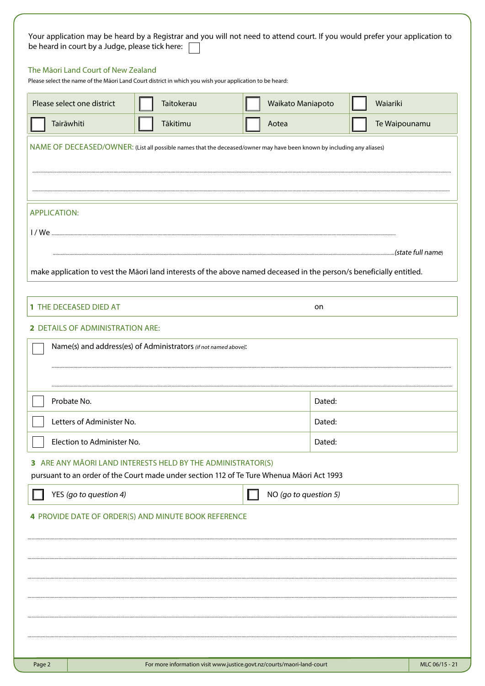|                                         | Taitokerau                                                      | Waikato Maniapoto                                                                                                      | Waiariki      |
|-----------------------------------------|-----------------------------------------------------------------|------------------------------------------------------------------------------------------------------------------------|---------------|
| Tairāwhiti                              | Tākitimu                                                        | Aotea                                                                                                                  | Te Waipounamu |
|                                         |                                                                 | NAME OF DECEASED/OWNER: (List all possible names that the deceased/owner may have been known by including any aliases) |               |
|                                         |                                                                 |                                                                                                                        |               |
|                                         |                                                                 |                                                                                                                        |               |
| <b>APPLICATION:</b>                     |                                                                 |                                                                                                                        |               |
|                                         |                                                                 |                                                                                                                        |               |
|                                         |                                                                 |                                                                                                                        |               |
|                                         |                                                                 | make application to vest the Māori land interests of the above named deceased in the person/s beneficially entitled.   |               |
| 1 THE DECEASED DIED AT                  |                                                                 | on                                                                                                                     |               |
|                                         |                                                                 |                                                                                                                        |               |
| <b>2 DETAILS OF ADMINISTRATION ARE:</b> |                                                                 |                                                                                                                        |               |
|                                         | Name(s) and address(es) of Administrators (if not named above): |                                                                                                                        |               |
|                                         |                                                                 |                                                                                                                        |               |
| Probate No.                             |                                                                 | Dated:                                                                                                                 |               |
| Letters of Administer No.               |                                                                 | Dated:                                                                                                                 |               |
| Election to Administer No.              |                                                                 | Dated:                                                                                                                 |               |
|                                         | 3 ARE ANY MĀORI LAND INTERESTS HELD BY THE ADMINISTRATOR(S)     |                                                                                                                        |               |
|                                         |                                                                 | pursuant to an order of the Court made under section 112 of Te Ture Whenua Māori Act 1993                              |               |
| YES (go to question 4)                  |                                                                 | NO (go to question 5)                                                                                                  |               |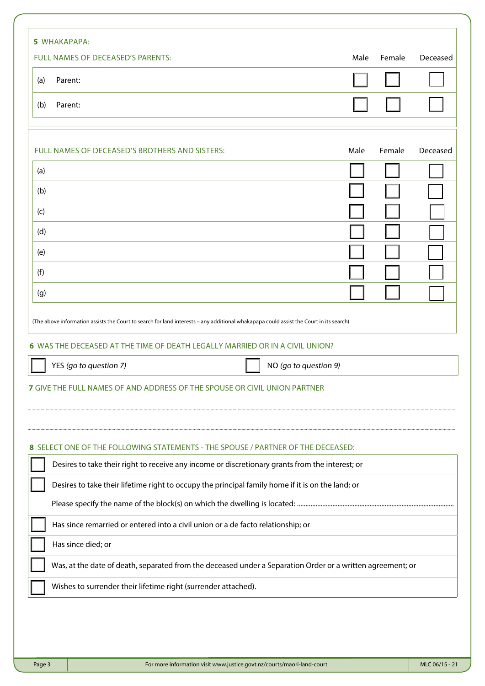|     | FULL NAMES OF DECEASED'S PARENTS:                                                                                                                                                                                      | Male | Female | Deceased |
|-----|------------------------------------------------------------------------------------------------------------------------------------------------------------------------------------------------------------------------|------|--------|----------|
| (a) | Parent:                                                                                                                                                                                                                |      |        |          |
| (b) | Parent:                                                                                                                                                                                                                |      |        |          |
|     | FULL NAMES OF DECEASED'S BROTHERS AND SISTERS:                                                                                                                                                                         | Male | Female | Deceased |
| (a) |                                                                                                                                                                                                                        |      |        |          |
| (b) |                                                                                                                                                                                                                        |      |        |          |
| (c) |                                                                                                                                                                                                                        |      |        |          |
| (d) |                                                                                                                                                                                                                        |      |        |          |
| (e) |                                                                                                                                                                                                                        |      |        |          |
| (f) |                                                                                                                                                                                                                        |      |        |          |
|     |                                                                                                                                                                                                                        |      |        |          |
|     | (The above information assists the Court to search for land interests - any additional whakapapa could assist the Court in its search)<br>6 WAS THE DECEASED AT THE TIME OF DEATH LEGALLY MARRIED OR IN A CIVIL UNION? |      |        |          |
| (g) | YES (go to question 7)<br>NO (go to question 9)                                                                                                                                                                        |      |        |          |
|     | <b>7 GIVE THE FULL NAMES OF AND ADDRESS OF THE SPOUSE OR CIVIL UNION PARTNER</b>                                                                                                                                       |      |        |          |
|     | 8 SELECT ONE OF THE FOLLOWING STATEMENTS - THE SPOUSE / PARTNER OF THE DECEASED:                                                                                                                                       |      |        |          |
|     | Desires to take their right to receive any income or discretionary grants from the interest; or                                                                                                                        |      |        |          |
|     | Desires to take their lifetime right to occupy the principal family home if it is on the land; or                                                                                                                      |      |        |          |
|     | Has since remarried or entered into a civil union or a de facto relationship; or                                                                                                                                       |      |        |          |
|     | Has since died; or                                                                                                                                                                                                     |      |        |          |
|     | Was, at the date of death, separated from the deceased under a Separation Order or a written agreement; or                                                                                                             |      |        |          |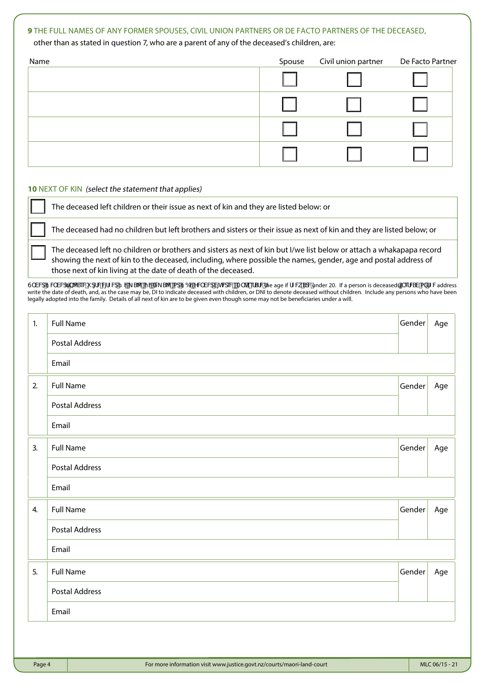# **9** THE FULL NAMES OF ANY FORMER SPOUSES, CIVIL UNION PARTNERS OR DE FACTO PARTNERS OF THE DECEASED,

other than as stated in question 7, who are a parent of any of the deceased's children, are:

| Name | Spouse | Civil union partner | De Facto Partner |
|------|--------|---------------------|------------------|
|      |        |                     |                  |
|      |        |                     |                  |
|      |        |                     |                  |
|      |        |                     |                  |

## **10** NEXT OF KIN (select the statement that applies)

The deceased left children or their issue as next of kin and they are listed below: or

The deceased had no children but left brothers and sisters or their issue as next of kin and they are listed below; or

The deceased left no children or brothers and sisters as next of kin but I/we list below or attach a whakapapa record showing the next of kin to the deceased, including, where possible the names, gender, age and postal address of those next of kin living at the date of death of the deceased.

G`VWJ9WVWJbW&WI qfWW[FZWJG`Y\_SWFjByXV\_SWFiady96yYVVVWV[hWdWtrA` ^k efSfWfhe age if fZVk SdMunder 20. If a person is deceasedl [`efV8V aXfZWaddress write the date of death, and, as the case may be, DI to indicate deceased with children, or DNI to denote deceased without children. Include any persons who have been legally adopted into the family. Details of all next of kin are to be given even though some may not be beneficiaries under a will.

| 1. | <b>Full Name</b>      | Gender | Age |
|----|-----------------------|--------|-----|
|    | <b>Postal Address</b> |        |     |
|    | Email                 |        |     |
| 2. | <b>Full Name</b>      | Gender | Age |
|    | <b>Postal Address</b> |        |     |
|    | Email                 |        |     |
| 3. | <b>Full Name</b>      | Gender | Age |
|    | <b>Postal Address</b> |        |     |
|    | Email                 |        |     |
| 4. | <b>Full Name</b>      | Gender | Age |
|    | <b>Postal Address</b> |        |     |
|    | Email                 |        |     |
| 5. | <b>Full Name</b>      | Gender | Age |
|    | <b>Postal Address</b> |        |     |
|    | Email                 |        |     |
|    |                       |        |     |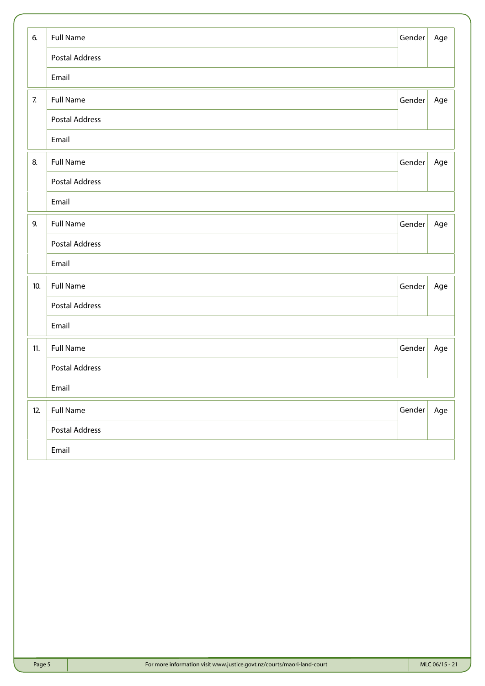| 6.  | <b>Full Name</b>      | Gender | Age |
|-----|-----------------------|--------|-----|
|     | <b>Postal Address</b> |        |     |
|     | Email                 |        |     |
| 7.  | <b>Full Name</b>      | Gender | Age |
|     | <b>Postal Address</b> |        |     |
|     | Email                 |        |     |
| 8.  | <b>Full Name</b>      | Gender | Age |
|     | <b>Postal Address</b> |        |     |
|     | Email                 |        |     |
| 9.  | <b>Full Name</b>      | Gender | Age |
|     | <b>Postal Address</b> |        |     |
|     | Email                 |        |     |
| 10. | <b>Full Name</b>      | Gender | Age |
|     | <b>Postal Address</b> |        |     |
|     | Email                 |        |     |
| 11. | <b>Full Name</b>      | Gender | Age |
|     | <b>Postal Address</b> |        |     |
|     | Email                 |        |     |
| 12. | <b>Full Name</b>      | Gender | Age |
|     | <b>Postal Address</b> |        |     |
|     | Email                 |        |     |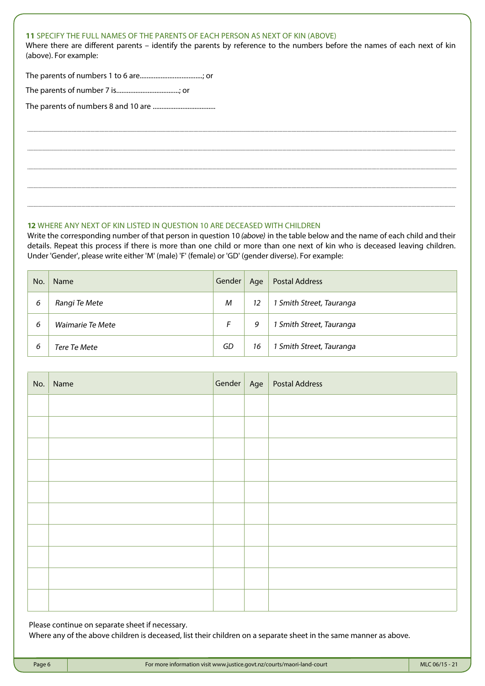# **11** SPECIFY THE FULL NAMES OF THE PARENTS OF EACH PERSON AS NEXT OF KIN (ABOVE)

Where there are different parents – identify the parents by reference to the numbers before the names of each next of kin (above). For example:

.............................................................................................................................................................................................................................................................................................................................................

............................................................................................................................................................................................................................................................................................................................................

.............................................................................................................................................................................................................................................................................................................................................

.............................................................................................................................................................................................................................................................................................................................................

............................................................................................................................................................................................................................................................................................................................................

The parents of numbers 1 to 6 are....................................; or

The parents of number 7 is....................................; or

The parents of numbers 8 and 10 are ....................................

# **12** WHERE ANY NEXT OF KIN LISTED IN QUESTION 10 ARE DECEASED WITH CHILDREN

Write the corresponding number of that person in question 10 (above) in the table below and the name of each child and their details. Repeat this process if there is more than one child or more than one next of kin who is deceased leaving children. Under 'Gender', please write either 'M' (male) 'F' (female) or 'GD' (gender diverse). For example:

| No. | <b>Name</b>      | Gender | Age | <b>Postal Address</b>    |
|-----|------------------|--------|-----|--------------------------|
| 6   | Rangi Te Mete    | M      | 12  | 1 Smith Street, Tauranga |
| 6   | Waimarie Te Mete |        | 9   | 1 Smith Street, Tauranga |
| 6   | Tere Te Mete     | GD     | 16  | 1 Smith Street, Tauranga |

| No. Name |  | Gender Age Postal Address |
|----------|--|---------------------------|
|          |  |                           |
|          |  |                           |
|          |  |                           |
|          |  |                           |
|          |  |                           |
|          |  |                           |
|          |  |                           |
|          |  |                           |
|          |  |                           |
|          |  |                           |

Please continue on separate sheet if necessary.

Where any of the above children is deceased, list their children on a separate sheet in the same manner as above.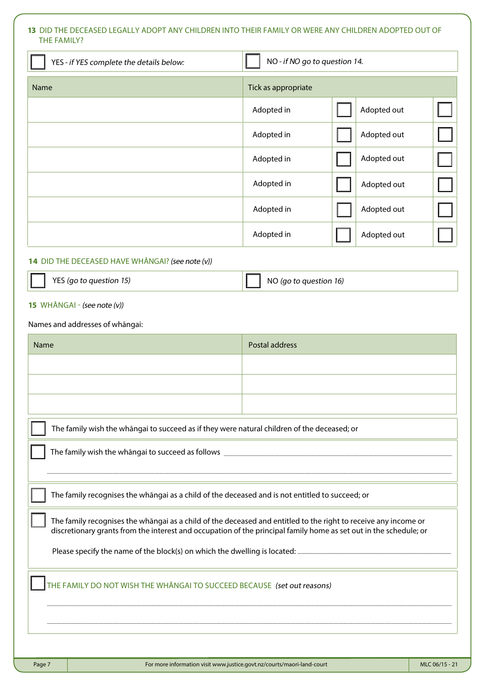# **13** DID THE DECEASED LEGALLY ADOPT ANY CHILDREN INTO THEIR FAMILY OR WERE ANY CHILDREN ADOPTED OUT OF THE FAMILY?

| YES - if YES complete the details below:                                                                                                                                                                                             | NO - if NO go to question 14. |             |
|--------------------------------------------------------------------------------------------------------------------------------------------------------------------------------------------------------------------------------------|-------------------------------|-------------|
| Name                                                                                                                                                                                                                                 | Tick as appropriate           |             |
|                                                                                                                                                                                                                                      | Adopted in                    | Adopted out |
|                                                                                                                                                                                                                                      | Adopted in                    | Adopted out |
|                                                                                                                                                                                                                                      | Adopted in                    | Adopted out |
|                                                                                                                                                                                                                                      | Adopted in                    | Adopted out |
|                                                                                                                                                                                                                                      | Adopted in                    | Adopted out |
|                                                                                                                                                                                                                                      | Adopted in                    | Adopted out |
| 14 DID THE DECEASED HAVE WHANGAI? (see note (v))                                                                                                                                                                                     |                               |             |
| YES (go to question 15)                                                                                                                                                                                                              | NO (go to question 16)        |             |
| 15 WHĀNGAI - (see note (v))                                                                                                                                                                                                          |                               |             |
| Names and addresses of whangai:                                                                                                                                                                                                      |                               |             |
| <b>Name</b>                                                                                                                                                                                                                          | <b>Postal address</b>         |             |
|                                                                                                                                                                                                                                      |                               |             |
|                                                                                                                                                                                                                                      |                               |             |
|                                                                                                                                                                                                                                      |                               |             |
| The family wish the whāngai to succeed as if they were natural children of the deceased; or                                                                                                                                          |                               |             |
|                                                                                                                                                                                                                                      |                               |             |
|                                                                                                                                                                                                                                      |                               |             |
| The family recognises the whangai as a child of the deceased and is not entitled to succeed; or                                                                                                                                      |                               |             |
| The family recognises the whangai as a child of the deceased and entitled to the right to receive any income or<br>discretionary grants from the interest and occupation of the principal family home as set out in the schedule; or |                               |             |
|                                                                                                                                                                                                                                      |                               |             |
| THE FAMILY DO NOT WISH THE WHANGAI TO SUCCEED BECAUSE (set out reasons)                                                                                                                                                              |                               |             |
|                                                                                                                                                                                                                                      |                               |             |
|                                                                                                                                                                                                                                      |                               |             |
|                                                                                                                                                                                                                                      |                               |             |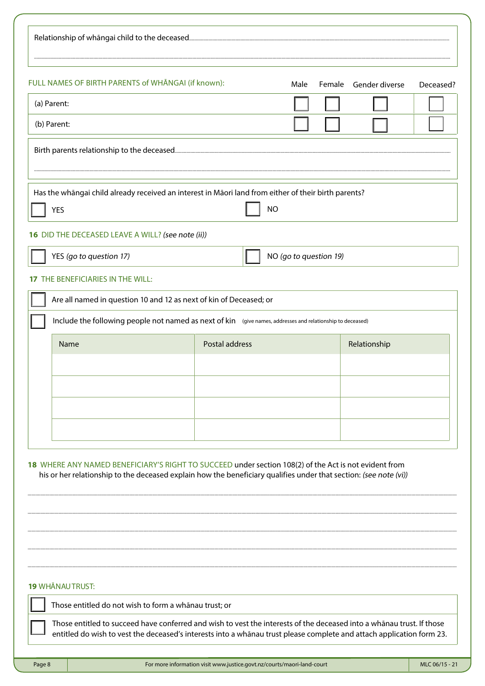| FULL NAMES OF BIRTH PARENTS of WHANGAI (if known):                                                         |                                                                                                                   | Male                   | Female Gender diverse | Deceased? |
|------------------------------------------------------------------------------------------------------------|-------------------------------------------------------------------------------------------------------------------|------------------------|-----------------------|-----------|
| (a) Parent:                                                                                                |                                                                                                                   |                        |                       |           |
| (b) Parent:                                                                                                |                                                                                                                   |                        |                       |           |
|                                                                                                            |                                                                                                                   |                        |                       |           |
| Has the whangai child already received an interest in Maori land from either of their birth parents?       |                                                                                                                   |                        |                       |           |
| <b>YES</b>                                                                                                 |                                                                                                                   | <b>NO</b>              |                       |           |
| 16 DID THE DECEASED LEAVE A WILL? (see note (ii))                                                          |                                                                                                                   |                        |                       |           |
| YES (go to question 17)                                                                                    |                                                                                                                   | NO (go to question 19) |                       |           |
| <b>17 THE BENEFICIARIES IN THE WILL:</b>                                                                   |                                                                                                                   |                        |                       |           |
| Are all named in question 10 and 12 as next of kin of Deceased; or                                         |                                                                                                                   |                        |                       |           |
| Include the following people not named as next of kin (give names, addresses and relationship to deceased) |                                                                                                                   |                        |                       |           |
| Name                                                                                                       | <b>Postal address</b>                                                                                             |                        | Relationship          |           |
|                                                                                                            |                                                                                                                   |                        |                       |           |
|                                                                                                            |                                                                                                                   |                        |                       |           |
|                                                                                                            |                                                                                                                   |                        |                       |           |
|                                                                                                            |                                                                                                                   |                        |                       |           |
|                                                                                                            |                                                                                                                   |                        |                       |           |
| 18 WHERE ANY NAMED BENEFICIARY'S RIGHT TO SUCCEED under section 108(2) of the Act is not evident from      | his or her relationship to the deceased explain how the beneficiary qualifies under that section: (see note (vi)) |                        |                       |           |
|                                                                                                            |                                                                                                                   |                        |                       |           |
|                                                                                                            |                                                                                                                   |                        |                       |           |
|                                                                                                            |                                                                                                                   |                        |                       |           |
|                                                                                                            |                                                                                                                   |                        |                       |           |
|                                                                                                            |                                                                                                                   |                        |                       |           |
|                                                                                                            |                                                                                                                   |                        |                       |           |
| <b>19 WHĀNAUTRUST:</b><br>Those entitled do not wish to form a whānau trust; or                            |                                                                                                                   |                        |                       |           |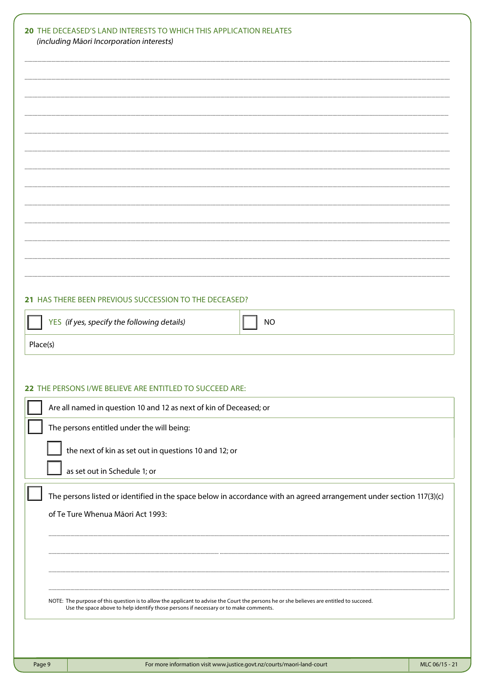| 21 HAS THERE BEEN PREVIOUS SUCCESSION TO THE DECEASED?                                                               |
|----------------------------------------------------------------------------------------------------------------------|
| YES (if yes, specify the following details)<br><b>NO</b>                                                             |
| Place(s)                                                                                                             |
|                                                                                                                      |
|                                                                                                                      |
| 22 THE PERSONS I/WE BELIEVE ARE ENTITLED TO SUCCEED ARE:                                                             |
| Are all named in question 10 and 12 as next of kin of Deceased; or                                                   |
| The persons entitled under the will being:                                                                           |
| the next of kin as set out in questions 10 and 12; or                                                                |
| as set out in Schedule 1; or                                                                                         |
|                                                                                                                      |
| The persons listed or identified in the space below in accordance with an agreed arrangement under section 117(3)(c) |
| of Te Ture Whenua Māori Act 1993:                                                                                    |
|                                                                                                                      |
|                                                                                                                      |
|                                                                                                                      |
|                                                                                                                      |
|                                                                                                                      |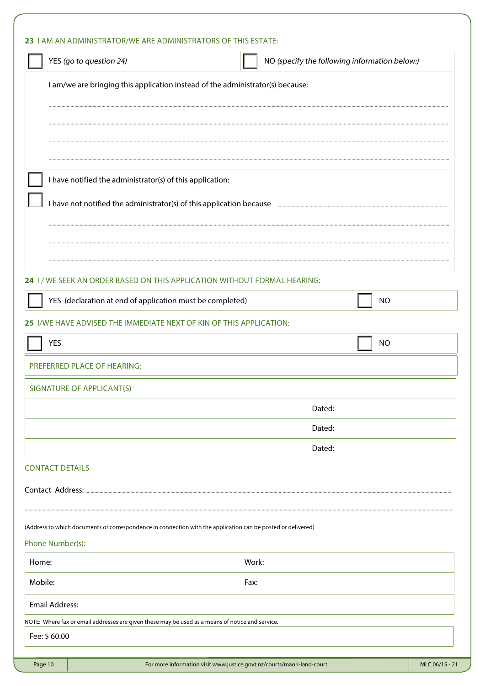| YES (go to question 24)                                                                                      | NO (specify the following information below:)                                  |
|--------------------------------------------------------------------------------------------------------------|--------------------------------------------------------------------------------|
|                                                                                                              | I am/we are bringing this application instead of the administrator(s) because: |
|                                                                                                              |                                                                                |
|                                                                                                              |                                                                                |
| I have notified the administrator(s) of this application:                                                    |                                                                                |
|                                                                                                              | I have not notified the administrator(s) of this application because manu-     |
|                                                                                                              |                                                                                |
|                                                                                                              |                                                                                |
|                                                                                                              | 24 I / WE SEEK AN ORDER BASED ON THIS APPLICATION WITHOUT FORMAL HEARING:      |
| YES (declaration at end of application must be completed)                                                    | <b>NO</b>                                                                      |
| 25 I/WE HAVE ADVISED THE IMMEDIATE NEXT OF KIN OF THIS APPLICATION:                                          |                                                                                |
| <b>YES</b>                                                                                                   | <b>NO</b>                                                                      |
| PREFERRED PLACE OF HEARING:                                                                                  |                                                                                |
| SIGNATURE OF APPLICANT(S)                                                                                    |                                                                                |
|                                                                                                              | Dated:                                                                         |
|                                                                                                              | Dated:                                                                         |
|                                                                                                              | Dated:                                                                         |
| <b>CONTACT DETAILS</b>                                                                                       |                                                                                |
|                                                                                                              |                                                                                |
| (Address to which documents or correspondence in connection with the application can be posted or delivered) |                                                                                |
| Phone Number(s):                                                                                             |                                                                                |
| Home:                                                                                                        | Work:                                                                          |
| Mobile:                                                                                                      | Fax:                                                                           |
| <b>Email Address:</b>                                                                                        |                                                                                |
| NOTE: Where fax or email addresses are given these may be used as a means of notice and service.             |                                                                                |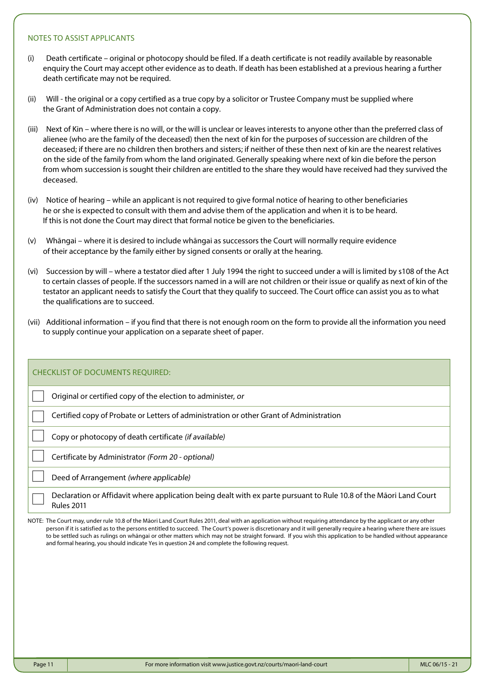## NOTES TO ASSIST APPLICANTS

- (i) Death certificate original or photocopy should be filed. If a death certificate is not readily available by reasonable enquiry the Court may accept other evidence as to death. If death has been established at a previous hearing a further death certificate may not be required.
- (ii) Will the original or a copy certified as a true copy by a solicitor or Trustee Company must be supplied where the Grant of Administration does not contain a copy.
- (iii) Next of Kin where there is no will, or the will is unclear or leaves interests to anyone other than the preferred class of alienee (who are the family of the deceased) then the next of kin for the purposes of succession are children of the deceased; if there are no children then brothers and sisters; if neither of these then next of kin are the nearest relatives on the side of the family from whom the land originated. Generally speaking where next of kin die before the person from whom succession is sought their children are entitled to the share they would have received had they survived the deceased.
- (iv) Notice of hearing while an applicant is not required to give formal notice of hearing to other beneficiaries he or she is expected to consult with them and advise them of the application and when it is to be heard. If this is not done the Court may direct that formal notice be given to the beneficiaries.
- (v) Whāngai where it is desired to include whāngai as successors the Court will normally require evidence of their acceptance by the family either by signed consents or orally at the hearing.
- (vi) Succession by will where a testator died after 1 July 1994 the right to succeed under a will is limited by s108 of the Act to certain classes of people. If the successors named in a will are not children or their issue or qualify as next of kin of the testator an applicant needs to satisfy the Court that they qualify to succeed. The Court office can assist you as to what the qualifications are to succeed.
- (vii) Additional information if you find that there is not enough room on the form to provide all the information you need to supply continue your application on a separate sheet of paper.

| <b>CHECKLIST OF DOCUMENTS REQUIRED:</b>                                                                                                 |
|-----------------------------------------------------------------------------------------------------------------------------------------|
| Original or certified copy of the election to administer, or                                                                            |
| Certified copy of Probate or Letters of administration or other Grant of Administration                                                 |
| Copy or photocopy of death certificate (if available)                                                                                   |
| Certificate by Administrator (Form 20 - optional)                                                                                       |
| Deed of Arrangement (where applicable)                                                                                                  |
| Declaration or Affidavit where application being dealt with ex parte pursuant to Rule 10.8 of the Māori Land Court<br><b>Rules 2011</b> |

NOTE: The Court may, under rule 10.8 of the Māori Land Court Rules 2011, deal with an application without requiring attendance by the applicant or any other person if it is satisfied as to the persons entitled to succeed. The Court's power is discretionary and it will generally require a hearing where there are issues to be settled such as rulings on whāngai or other matters which may not be straight forward. If you wish this application to be handled without appearance and formal hearing, you should indicate Yes in question 24 and complete the following request.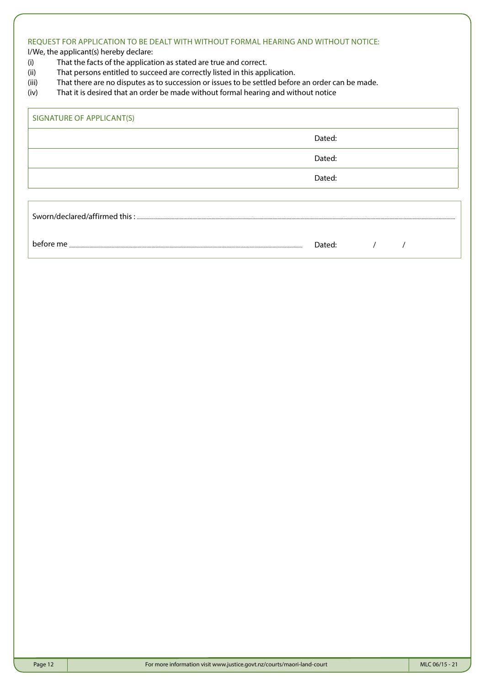# REQUEST FOR APPLICATION TO BE DEALT WITH WITHOUT FORMAL HEARING AND WITHOUT NOTICE:

I/We, the applicant(s) hereby declare:

- (i) That the facts of the application as stated are true and correct.
- (ii) That persons entitled to succeed are correctly listed in this application.
- (iii) That there are no disputes as to succession or issues to be settled before an order can be made.
- (iv) That it is desired that an order be made without formal hearing and without notice

| SIGNATURE OF APPLICANT(S)   |        |  |  |
|-----------------------------|--------|--|--|
|                             | Dated: |  |  |
|                             | Dated: |  |  |
|                             | Dated: |  |  |
|                             |        |  |  |
| $\textbf{Sworn}/\text{dec}$ |        |  |  |
| before me                   | Dated: |  |  |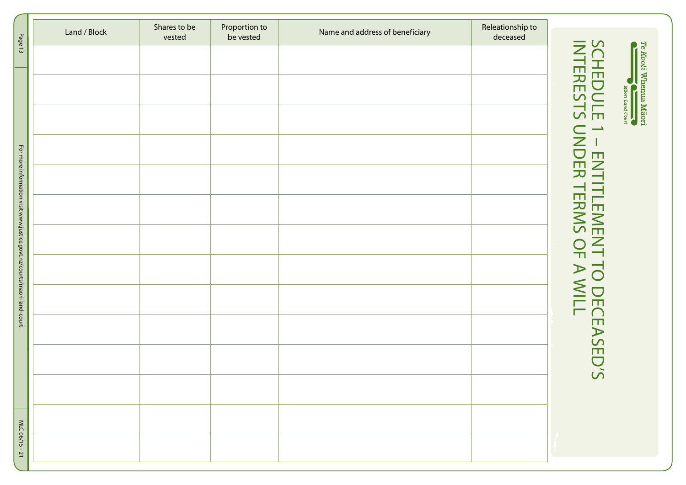|                                                                        | Land / Block | Shares to be | Proportion to | Name and address of beneficiary | Releationship to |                                                  |
|------------------------------------------------------------------------|--------------|--------------|---------------|---------------------------------|------------------|--------------------------------------------------|
| Page 13                                                                |              | vested       | be vested     |                                 | deceased         |                                                  |
|                                                                        |              |              |               |                                 |                  |                                                  |
|                                                                        |              |              |               |                                 |                  |                                                  |
|                                                                        |              |              |               |                                 |                  |                                                  |
|                                                                        |              |              |               |                                 |                  |                                                  |
|                                                                        |              |              |               |                                 |                  | <b>SCHEDULE</b><br>INTERESTS                     |
|                                                                        |              |              |               |                                 |                  | $\rightarrow$                                    |
|                                                                        |              |              |               |                                 |                  |                                                  |
|                                                                        |              |              |               |                                 |                  | $\overline{\mathsf{C}}$                          |
|                                                                        |              |              |               |                                 |                  |                                                  |
|                                                                        |              |              |               |                                 |                  |                                                  |
|                                                                        |              |              |               |                                 |                  |                                                  |
|                                                                        |              |              |               |                                 |                  |                                                  |
| For more information visit www.justice.govt.nz/courts/maori-land-court |              |              |               |                                 |                  | ENTITLEMENT TO DECEASED'S<br>DER TERMS OF A WILL |
|                                                                        |              |              |               |                                 |                  |                                                  |
|                                                                        |              |              |               |                                 |                  |                                                  |
|                                                                        |              |              |               |                                 |                  |                                                  |
|                                                                        |              |              |               |                                 |                  |                                                  |
|                                                                        |              |              |               |                                 |                  |                                                  |
|                                                                        |              |              |               |                                 |                  |                                                  |
|                                                                        |              |              |               |                                 |                  |                                                  |
|                                                                        |              |              |               |                                 |                  |                                                  |
|                                                                        |              |              |               |                                 |                  |                                                  |
|                                                                        |              |              |               |                                 |                  |                                                  |
|                                                                        |              |              |               |                                 |                  |                                                  |
|                                                                        |              |              |               |                                 |                  |                                                  |
|                                                                        |              |              |               |                                 |                  |                                                  |
| MLC 06/15-21                                                           |              |              |               |                                 |                  |                                                  |
|                                                                        |              |              |               |                                 |                  |                                                  |

Te Kooti Whenua Mãori<br> **Allian Magri Land Court**